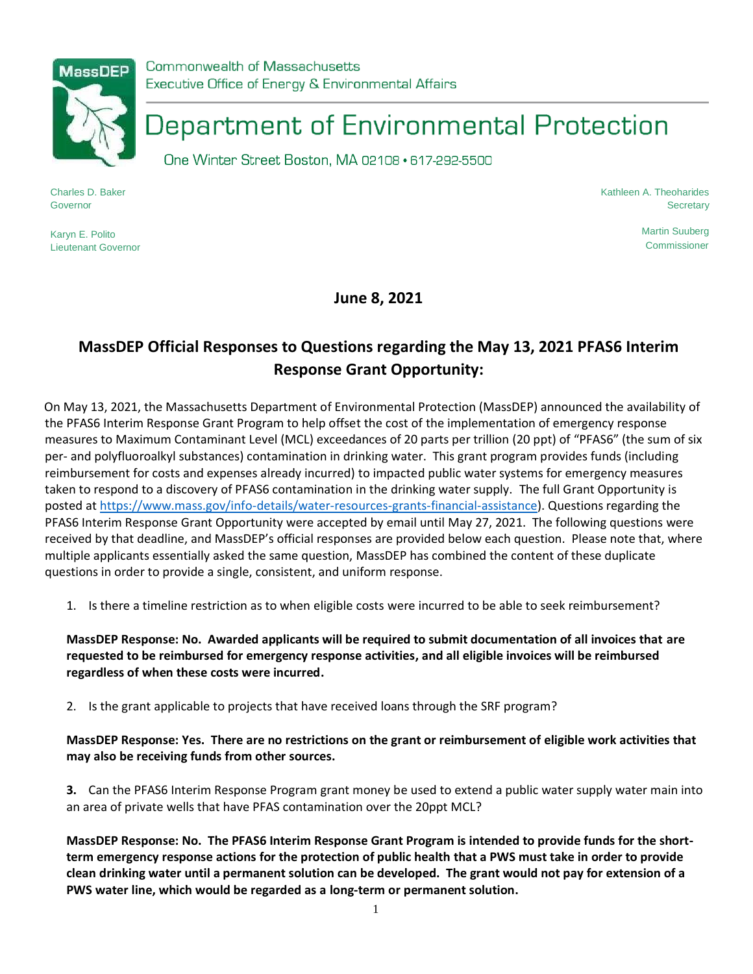

Commonwealth of Massachusetts Executive Office of Energy & Environmental Affairs

## Department of Environmental Protection

One Winter Street Boston, MA 02108 · 617-292-5500

Charles D. Baker Governor

Karyn E. Polito Lieutenant Governor Kathleen A. Theoharides **Secretary** 

> Martin Suuberg **Commissioner**

**June 8, 2021**

## **MassDEP Official Responses to Questions regarding the May 13, 2021 PFAS6 Interim Response Grant Opportunity:**

On May 13, 2021, the Massachusetts Department of Environmental Protection (MassDEP) announced the availability of the PFAS6 Interim Response Grant Program to help offset the cost of the implementation of emergency response measures to Maximum Contaminant Level (MCL) exceedances of 20 parts per trillion (20 ppt) of "PFAS6" (the sum of six per- and polyfluoroalkyl substances) contamination in drinking water. This grant program provides funds (including reimbursement for costs and expenses already incurred) to impacted public water systems for emergency measures taken to respond to a discovery of PFAS6 contamination in the drinking water supply.The full Grant Opportunity is posted at [https://www.mass.gov/info-details/water-resources-grants-financial-assistance\)](https://www.mass.gov/info-details/water-resources-grants-financial-assistance). Questions regarding the PFAS6 Interim Response Grant Opportunity were accepted by email until May 27, 2021. The following questions were received by that deadline, and MassDEP's official responses are provided below each question. Please note that, where multiple applicants essentially asked the same question, MassDEP has combined the content of these duplicate questions in order to provide a single, consistent, and uniform response.

1. Is there a timeline restriction as to when eligible costs were incurred to be able to seek reimbursement?

**MassDEP Response: No. Awarded applicants will be required to submit documentation of all invoices that are requested to be reimbursed for emergency response activities, and all eligible invoices will be reimbursed regardless of when these costs were incurred.**

2. Is the grant applicable to projects that have received loans through the SRF program?

**MassDEP Response: Yes. There are no restrictions on the grant or reimbursement of eligible work activities that may also be receiving funds from other sources.**

**3.** Can the PFAS6 Interim Response Program grant money be used to extend a public water supply water main into an area of private wells that have PFAS contamination over the 20ppt MCL?

**MassDEP Response: No. The PFAS6 Interim Response Grant Program is intended to provide funds for the shortterm emergency response actions for the protection of public health that a PWS must take in order to provide clean drinking water until a permanent solution can be developed. The grant would not pay for extension of a PWS water line, which would be regarded as a long-term or permanent solution.**